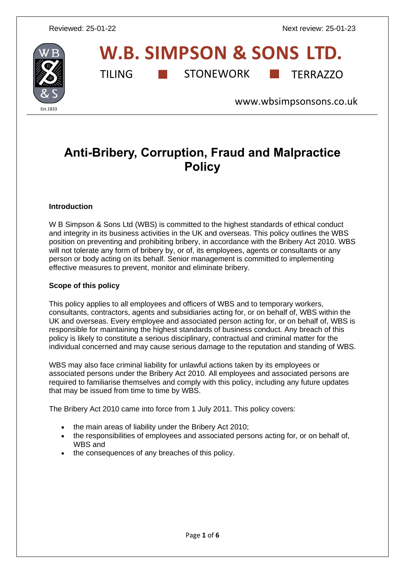

# **W.B. SIMPSON & SONS LTD.** TILING **THE STONEWORK** TERRAZZO

[www.wbsimpsonsons.co.uk](http://www.wbsimpsonsons.co.uk/)

# **Anti-Bribery, Corruption, Fraud and Malpractice Policy**

#### **Introduction**

W B Simpson & Sons Ltd (WBS) is committed to the highest standards of ethical conduct and integrity in its business activities in the UK and overseas. This policy outlines the WBS position on preventing and prohibiting bribery, in accordance with the Bribery Act 2010. WBS will not tolerate any form of bribery by, or of, its employees, agents or consultants or any person or body acting on its behalf. Senior management is committed to implementing effective measures to prevent, monitor and eliminate bribery.

#### **Scope of this policy**

This policy applies to all employees and officers of WBS and to temporary workers, consultants, contractors, agents and subsidiaries acting for, or on behalf of, WBS within the UK and overseas. Every employee and associated person acting for, or on behalf of, WBS is responsible for maintaining the highest standards of business conduct. Any breach of this policy is likely to constitute a serious disciplinary, contractual and criminal matter for the individual concerned and may cause serious damage to the reputation and standing of WBS.

WBS may also face criminal liability for unlawful actions taken by its employees or associated persons under the Bribery Act 2010. All employees and associated persons are required to familiarise themselves and comply with this policy, including any future updates that may be issued from time to time by WBS.

The Bribery Act 2010 came into force from 1 July 2011. This policy covers:

- the main areas of liability under the Bribery Act 2010:
- the responsibilities of employees and associated persons acting for, or on behalf of, WBS and
- the consequences of any breaches of this policy.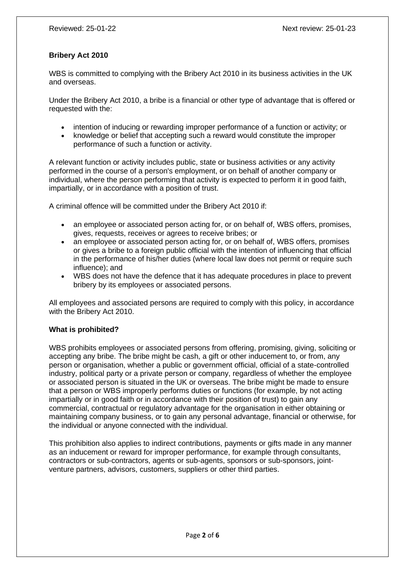# **Bribery Act 2010**

WBS is committed to complying with the Bribery Act 2010 in its business activities in the UK and overseas.

Under the Bribery Act 2010, a bribe is a financial or other type of advantage that is offered or requested with the:

- intention of inducing or rewarding improper performance of a function or activity; or
- knowledge or belief that accepting such a reward would constitute the improper performance of such a function or activity.

A relevant function or activity includes public, state or business activities or any activity performed in the course of a person's employment, or on behalf of another company or individual, where the person performing that activity is expected to perform it in good faith, impartially, or in accordance with a position of trust.

A criminal offence will be committed under the Bribery Act 2010 if:

- an employee or associated person acting for, or on behalf of, WBS offers, promises, gives, requests, receives or agrees to receive bribes; or
- an employee or associated person acting for, or on behalf of, WBS offers, promises or gives a bribe to a foreign public official with the intention of influencing that official in the performance of his/her duties (where local law does not permit or require such influence); and
- WBS does not have the defence that it has adequate procedures in place to prevent bribery by its employees or associated persons.

All employees and associated persons are required to comply with this policy, in accordance with the Bribery Act 2010.

#### **What is prohibited?**

WBS prohibits employees or associated persons from offering, promising, giving, soliciting or accepting any bribe. The bribe might be cash, a gift or other inducement to, or from, any person or organisation, whether a public or government official, official of a state-controlled industry, political party or a private person or company, regardless of whether the employee or associated person is situated in the UK or overseas. The bribe might be made to ensure that a person or WBS improperly performs duties or functions (for example, by not acting impartially or in good faith or in accordance with their position of trust) to gain any commercial, contractual or regulatory advantage for the organisation in either obtaining or maintaining company business, or to gain any personal advantage, financial or otherwise, for the individual or anyone connected with the individual.

This prohibition also applies to indirect contributions, payments or gifts made in any manner as an inducement or reward for improper performance, for example through consultants, contractors or sub-contractors, agents or sub-agents, sponsors or sub-sponsors, jointventure partners, advisors, customers, suppliers or other third parties.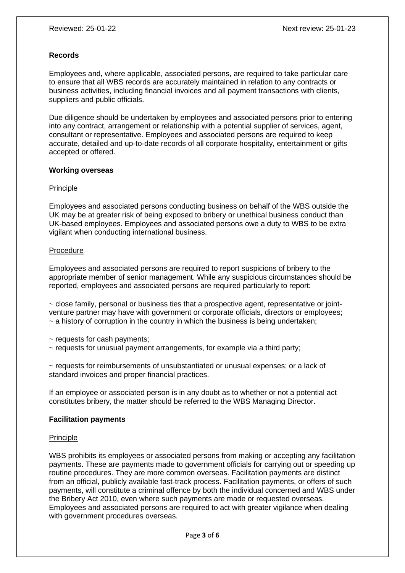#### **Records**

Employees and, where applicable, associated persons, are required to take particular care to ensure that all WBS records are accurately maintained in relation to any contracts or business activities, including financial invoices and all payment transactions with clients, suppliers and public officials.

Due diligence should be undertaken by employees and associated persons prior to entering into any contract, arrangement or relationship with a potential supplier of services, agent, consultant or representative. Employees and associated persons are required to keep accurate, detailed and up-to-date records of all corporate hospitality, entertainment or gifts accepted or offered.

#### **Working overseas**

#### Principle

Employees and associated persons conducting business on behalf of the WBS outside the UK may be at greater risk of being exposed to bribery or unethical business conduct than UK-based employees. Employees and associated persons owe a duty to WBS to be extra vigilant when conducting international business.

#### Procedure

Employees and associated persons are required to report suspicions of bribery to the appropriate member of senior management. While any suspicious circumstances should be reported, employees and associated persons are required particularly to report:

 $\sim$  close family, personal or business ties that a prospective agent, representative or jointventure partner may have with government or corporate officials, directors or employees;  $\sim$  a history of corruption in the country in which the business is being undertaken;

~ requests for cash payments;

 $\sim$  requests for unusual payment arrangements, for example via a third party;

 $\sim$  requests for reimbursements of unsubstantiated or unusual expenses; or a lack of standard invoices and proper financial practices.

If an employee or associated person is in any doubt as to whether or not a potential act constitutes bribery, the matter should be referred to the WBS Managing Director.

# **Facilitation payments**

#### Principle

WBS prohibits its employees or associated persons from making or accepting any facilitation payments. These are payments made to government officials for carrying out or speeding up routine procedures. They are more common overseas. Facilitation payments are distinct from an official, publicly available fast-track process. Facilitation payments, or offers of such payments, will constitute a criminal offence by both the individual concerned and WBS under the Bribery Act 2010, even where such payments are made or requested overseas. Employees and associated persons are required to act with greater vigilance when dealing with government procedures overseas.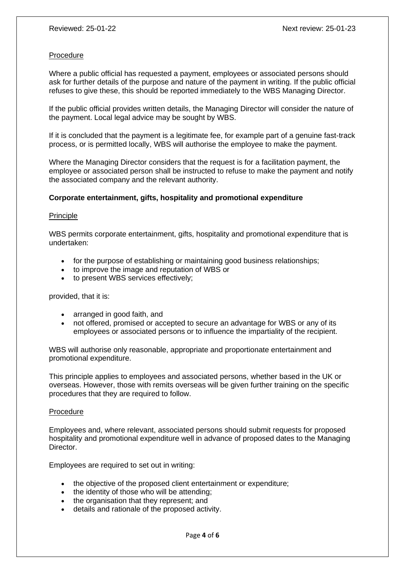#### Procedure

Where a public official has requested a payment, employees or associated persons should ask for further details of the purpose and nature of the payment in writing. If the public official refuses to give these, this should be reported immediately to the WBS Managing Director.

If the public official provides written details, the Managing Director will consider the nature of the payment. Local legal advice may be sought by WBS.

If it is concluded that the payment is a legitimate fee, for example part of a genuine fast-track process, or is permitted locally, WBS will authorise the employee to make the payment.

Where the Managing Director considers that the request is for a facilitation payment, the employee or associated person shall be instructed to refuse to make the payment and notify the associated company and the relevant authority.

#### **Corporate entertainment, gifts, hospitality and promotional expenditure**

#### **Principle**

WBS permits corporate entertainment, gifts, hospitality and promotional expenditure that is undertaken:

- for the purpose of establishing or maintaining good business relationships:
- to improve the image and reputation of WBS or
- to present WBS services effectively;

provided, that it is:

- arranged in good faith, and
- not offered, promised or accepted to secure an advantage for WBS or any of its employees or associated persons or to influence the impartiality of the recipient.

WBS will authorise only reasonable, appropriate and proportionate entertainment and promotional expenditure.

This principle applies to employees and associated persons, whether based in the UK or overseas. However, those with remits overseas will be given further training on the specific procedures that they are required to follow.

#### Procedure

Employees and, where relevant, associated persons should submit requests for proposed hospitality and promotional expenditure well in advance of proposed dates to the Managing Director.

Employees are required to set out in writing:

- the objective of the proposed client entertainment or expenditure;
- the identity of those who will be attending:
- the organisation that they represent: and
- details and rationale of the proposed activity.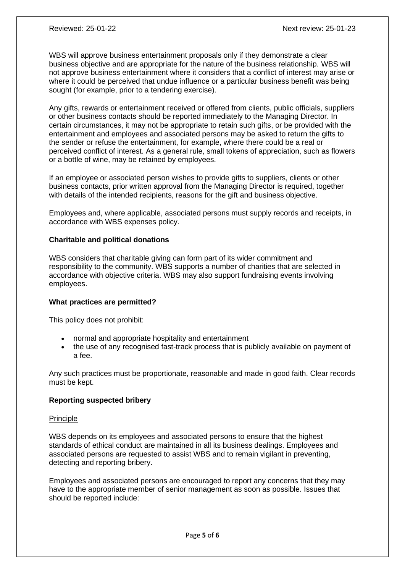WBS will approve business entertainment proposals only if they demonstrate a clear business objective and are appropriate for the nature of the business relationship. WBS will not approve business entertainment where it considers that a conflict of interest may arise or where it could be perceived that undue influence or a particular business benefit was being sought (for example, prior to a tendering exercise).

Any gifts, rewards or entertainment received or offered from clients, public officials, suppliers or other business contacts should be reported immediately to the Managing Director. In certain circumstances, it may not be appropriate to retain such gifts, or be provided with the entertainment and employees and associated persons may be asked to return the gifts to the sender or refuse the entertainment, for example, where there could be a real or perceived conflict of interest. As a general rule, small tokens of appreciation, such as flowers or a bottle of wine, may be retained by employees.

If an employee or associated person wishes to provide gifts to suppliers, clients or other business contacts, prior written approval from the Managing Director is required, together with details of the intended recipients, reasons for the gift and business objective.

Employees and, where applicable, associated persons must supply records and receipts, in accordance with WBS expenses policy.

#### **Charitable and political donations**

WBS considers that charitable giving can form part of its wider commitment and responsibility to the community. WBS supports a number of charities that are selected in accordance with objective criteria. WBS may also support fundraising events involving employees.

#### **What practices are permitted?**

This policy does not prohibit:

- normal and appropriate hospitality and entertainment
- the use of any recognised fast-track process that is publicly available on payment of a fee.

Any such practices must be proportionate, reasonable and made in good faith. Clear records must be kept.

#### **Reporting suspected bribery**

#### Principle

WBS depends on its employees and associated persons to ensure that the highest standards of ethical conduct are maintained in all its business dealings. Employees and associated persons are requested to assist WBS and to remain vigilant in preventing, detecting and reporting bribery.

Employees and associated persons are encouraged to report any concerns that they may have to the appropriate member of senior management as soon as possible. Issues that should be reported include: